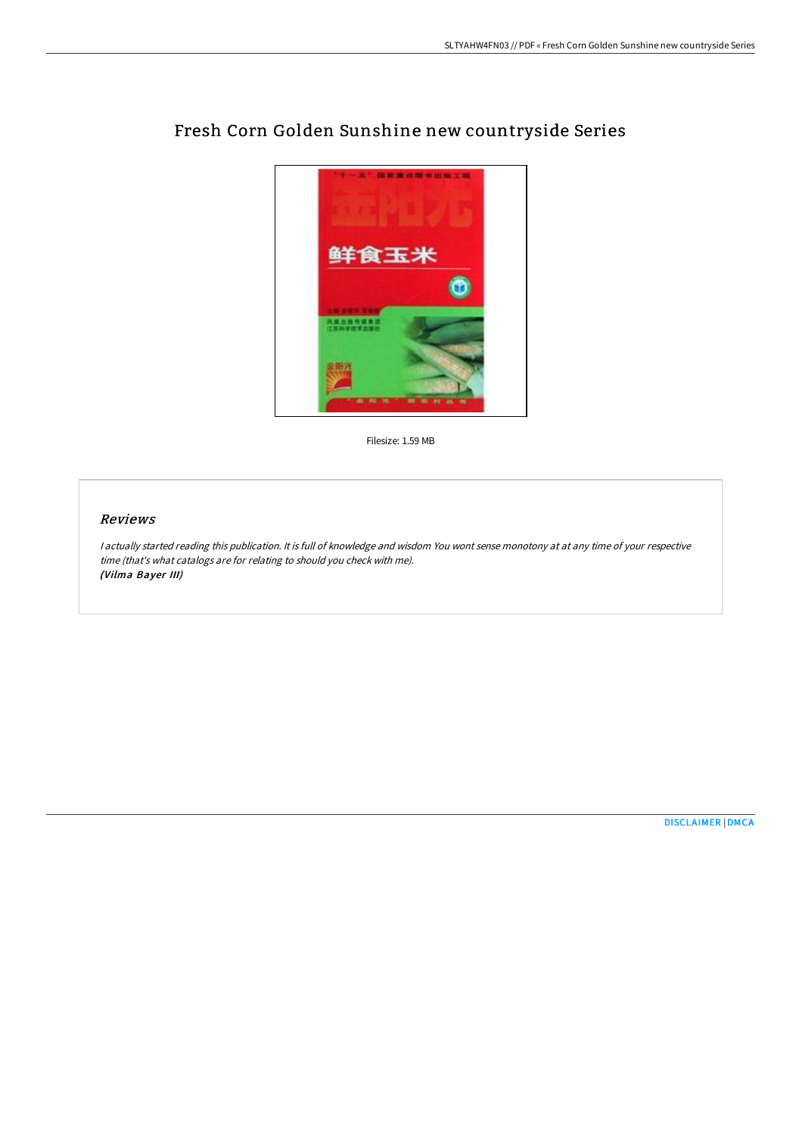

# Fresh Corn Golden Sunshine new countryside Series

Filesize: 1.59 MB

# Reviews

<sup>I</sup> actually started reading this publication. It is full of knowledge and wisdom You wont sense monotony at at any time of your respective time (that's what catalogs are for relating to should you check with me). (Vilma Bayer III)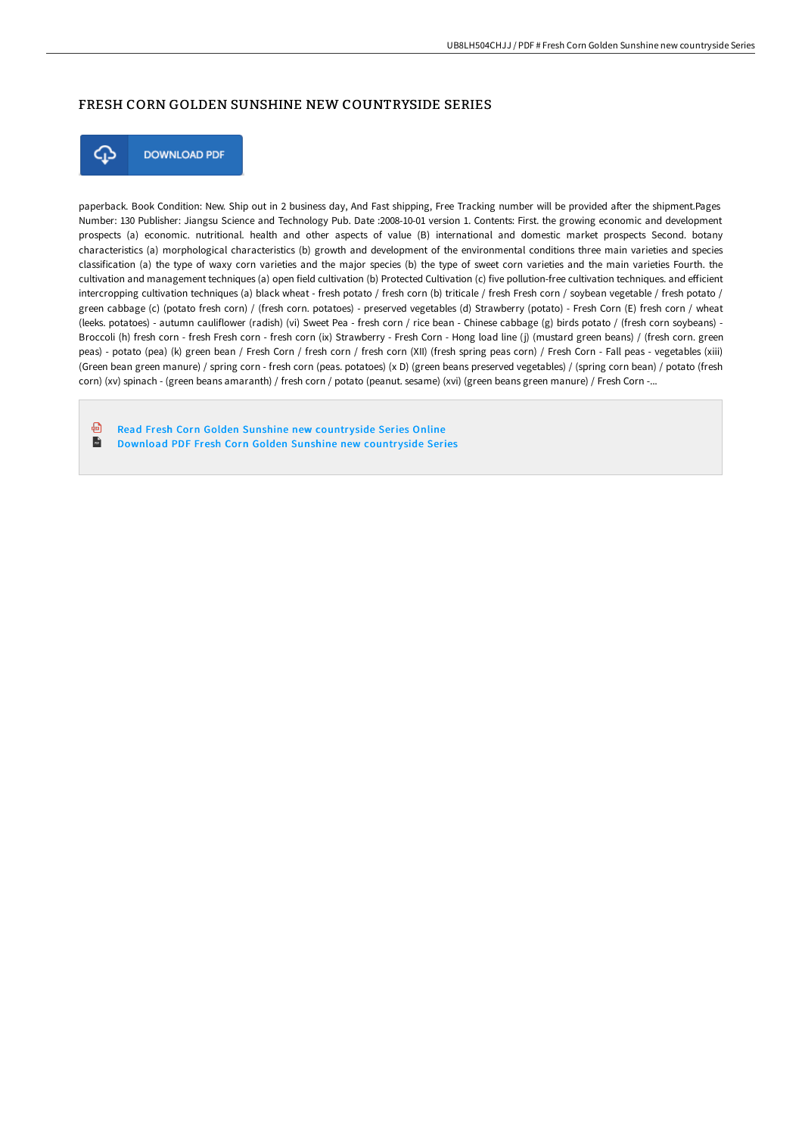# FRESH CORN GOLDEN SUNSHINE NEW COUNTRYSIDE SERIES



paperback. Book Condition: New. Ship out in 2 business day, And Fast shipping, Free Tracking number will be provided after the shipment.Pages Number: 130 Publisher: Jiangsu Science and Technology Pub. Date :2008-10-01 version 1. Contents: First. the growing economic and development prospects (a) economic. nutritional. health and other aspects of value (B) international and domestic market prospects Second. botany characteristics (a) morphological characteristics (b) growth and development of the environmental conditions three main varieties and species classification (a) the type of waxy corn varieties and the major species (b) the type of sweet corn varieties and the main varieties Fourth. the cultivation and management techniques (a) open field cultivation (b) Protected Cultivation (c) five pollution-free cultivation techniques. and efficient intercropping cultivation techniques (a) black wheat - fresh potato / fresh corn (b) triticale / fresh Fresh corn / soybean vegetable / fresh potato / green cabbage (c) (potato fresh corn) / (fresh corn. potatoes) - preserved vegetables (d) Strawberry (potato) - Fresh Corn (E) fresh corn / wheat (leeks. potatoes) - autumn cauliflower (radish) (vi) Sweet Pea - fresh corn / rice bean - Chinese cabbage (g) birds potato / (fresh corn soybeans) - Broccoli (h) fresh corn - fresh Fresh corn - fresh corn (ix) Strawberry - Fresh Corn - Hong load line (j) (mustard green beans) / (fresh corn. green peas) - potato (pea) (k) green bean / Fresh Corn / fresh corn / fresh corn (XII) (fresh spring peas corn) / Fresh Corn - Fall peas - vegetables (xiii) (Green bean green manure) / spring corn - fresh corn (peas. potatoes) (x D) (green beans preserved vegetables) / (spring corn bean) / potato (fresh corn) (xv) spinach - (green beans amaranth) / fresh corn / potato (peanut. sesame) (xvi) (green beans green manure) / Fresh Corn -...

கி Read Fresh Corn Golden [Sunshine](http://digilib.live/fresh-corn-golden-sunshine-new-countryside-serie-1.html) new countryside Series Online  $\mathbf{H}$ [Download](http://digilib.live/fresh-corn-golden-sunshine-new-countryside-serie-1.html) PDF Fresh Corn Golden Sunshine new countryside Series